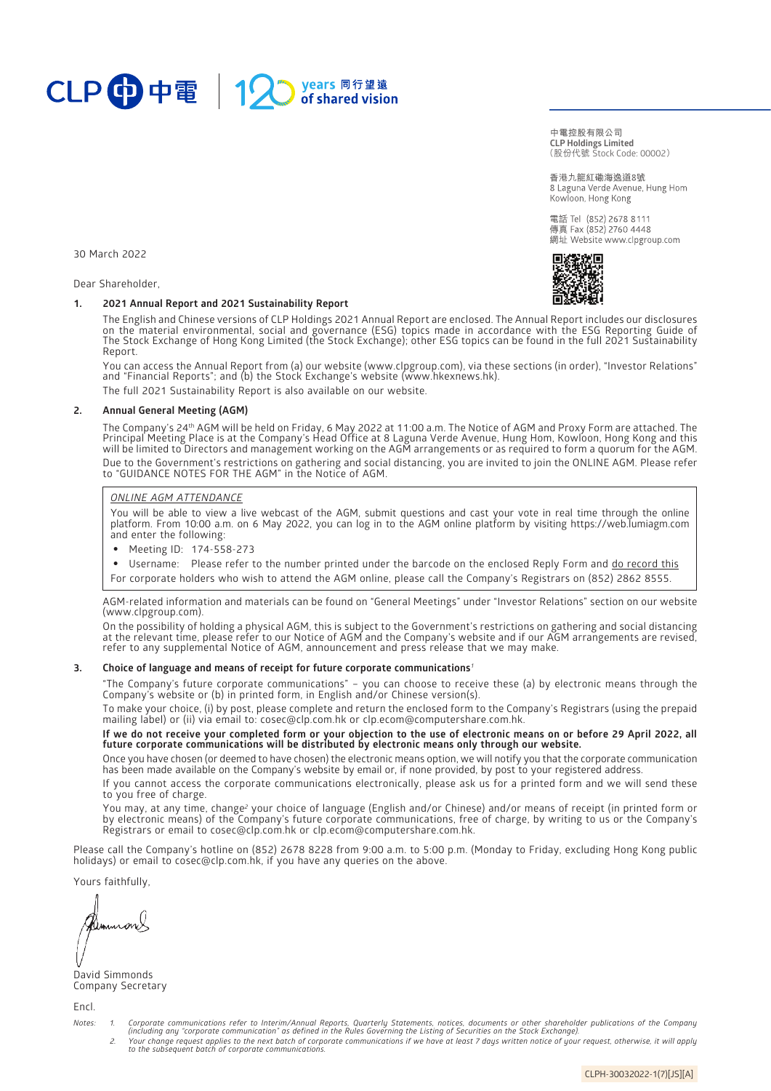

(股份代號 Stock Code: 00002) **中電控股有限公司 CLP Holdings Limited**

香港九龍紅磡海逸道8號 8 Laguna Verde Avenue, Hung Hom Kowloon, Hong Kong

電話 Tel (852) 2678 8111 傳真 Fax (852) 2760 4448 網址 Website www.clpgroup.com

30 March 2022

Dear Shareholder,

## **1. 2021 Annual Report and 2021 Sustainability Report**

The English and Chinese versions of CLP Holdings 2021 Annual Report are enclosed. The Annual Report includes our disclosures on the material environmental, social and governance (ESG) topics made in accordance with the ESG Reporting Guide of The Stock Exchange of Hong Kong Limited (the Stock Exchange); other ESG topics can be found in the full 2021 Sustainability Report.

You can access the Annual Report from (a) our website [\(www.clpgroup.com\)](https://www.clpgroup.com/en/index.html), via these sections (in order), "Investor Relations" and "Financial Reports"; and (b) the Stock Exchange's website [\(www.hkexnews.hk\)](https://www.hkexnews.hk/).

The full 2021 Sustainability Report is also available on our website.

### **2. Annual General Meeting (AGM)**

The Company's 24th AGM will be held on Friday, 6 May 2022 at 11:00 a.m. The Notice of AGM and Proxy Form are attached. The Principal Meeting Place is at the Company's Head Office at 8 Laguna Verde Avenue, Hung Hom, Kowloon, Hong Kong and this will be limited to Directors and management working on the AGM arrangements or as required to form a quorum for the AGM. Due to the Government's restrictions on gathering and social distancing, you are invited to join the ONLINE AGM. Please refer to "GUIDANCE NOTES FOR THE AGM" in the Notice of AGM.

## *ONLINE AGM ATTENDANCE*

You will be able to view a live webcast of the AGM, submit questions and cast your vote in real time through the online platform. From 10:00 a.m. on 6 May 2022, you can log in to the AGM online platform by visiting [https://web.lumiagm.com](https://web.lumiagm.com/)  and enter the following:

- Meeting ID: 174-558-273
- Username: Please refer to the number printed under the barcode on the enclosed Reply Form and do record this
- For corporate holders who wish to attend the AGM online, please call the Company's Registrars on (852) 2862 8555.

AGM-related information and materials can be found on "General Meetings" under "Investor Relations" section on our website [\(www.clpgroup.com](https://www.clpgroup.com/en/index.html)).

On the possibility of holding a physical AGM, this is subject to the Government's restrictions on gathering and social distancing at the relevant time, please refer to our Notice of AGM and the Company's website and if our AGM arrangements are revised, refer to any supplemental Notice of AGM, announcement and press release that we may make.

#### **3. Choice of language and means of receipt for future corporate communications***<sup>1</sup>*

"The Company's future corporate communications" – you can choose to receive these (a) by electronic means through the Company's website or (b) in printed form, in English and/or Chinese version(s).

To make your choice, (i) by post, please complete and return the enclosed form to the Company's Registrars (using the prepaid mailing label) or (ii) via email to[: cosec@clp.com.hk](mailto:cosec@clp.com.hk) or [clp.ecom@computershare.com.hk.](mailto:clp.ecom@computershare.com.hk)

**If we do not receive your completed form or your objection to the use of electronic means on or before 29 April 2022, all future corporate communications will be distributed by electronic means only through our website.**

Once you have chosen (or deemed to have chosen) the electronic means option, we will notify you that the corporate communication has been made available on the Company's website by email or, if none provided, by post to your registered address

If you cannot access the corporate communications electronically, please ask us for a printed form and we will send these to you free of charge.

You may, at any time, change<sup>2</sup> your choice of language (English and/or Chinese) and/or means of receipt (in printed form or by electronic means) of the Company's future corporate communications, free of charge, by writing to us or the Company's Registrars or email to [cosec@clp.com.hk o](mailto:cosec@clp.com.hk)r [clp.ecom@computershare.com.hk.](mailto:clp.ecom@computershare.com.hk)

Please call the Company's hotline on (852) 2678 8228 from 9:00 a.m. to 5:00 p.m. (Monday to Friday, excluding Hong Kong public holidays) or email t[o cosec@clp.com.hk,](mailto:cosec@clp.com.hk) if you have any queries on the above.

Yours faithfully,

David Simmonds Company Secretary

Encl.

- Notes: 1. Corporate communications refer to Interim/Annual Reports, Quarterly Statements, notices, documents or other shareholder publications of the Company<br>(including any "corporate communication" as defined in the Rules
	- *2. Your change request applies to the next batch of corporate communications if we have at least 7 days written notice of your request, otherwise, it will apply to the subsequent batch of corporate communications.*